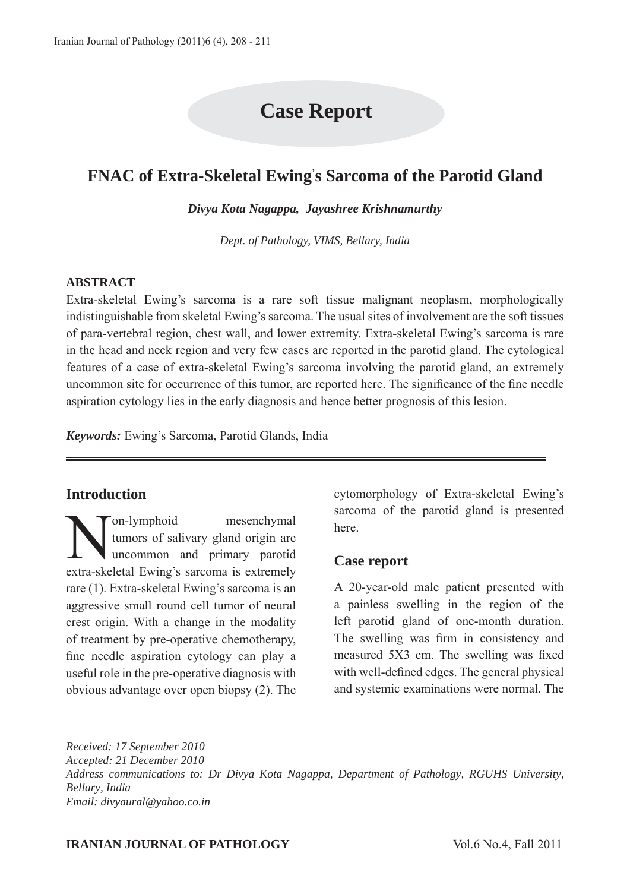# **Case Report**

## **FNAC of Extra-Skeletal Ewing' s Sarcoma of the Parotid Gland**

*Divya Kota Nagappa, Jayashree Krishnamurthy*

*Dept. of Pathology, VIMS, Bellary, India*

#### **ABSTRACT**

Extra-skeletal Ewing's sarcoma is a rare soft tissue malignant neoplasm, morphologically indistinguishable from skeletal Ewing's sarcoma. The usual sites of involvement are the soft tissues of para-vertebral region, chest wall, and lower extremity. Extra-skeletal Ewing's sarcoma is rare in the head and neck region and very few cases are reported in the parotid gland. The cytological features of a case of extra-skeletal Ewing's sarcoma involving the parotid gland, an extremely uncommon site for occurrence of this tumor, are reported here. The significance of the fine needle aspiration cytology lies in the early diagnosis and hence better prognosis of this lesion.

*Keywords:* Ewing's Sarcoma, Parotid Glands, India

## **Introduction**

Non-lymphoid mesenchymal<br>tumors of salivary gland origin are<br>uncommon and primary parotid tumors of salivary gland origin are uncommon and primary parotid extra-skeletal Ewing's sarcoma is extremely rare (1). Extra-skeletal Ewing's sarcoma is an aggressive small round cell tumor of neural crest origin. With a change in the modality of treatment by pre-operative chemotherapy, fine needle aspiration cytology can play a useful role in the pre-operative diagnosis with obvious advantage over open biopsy (2). The

cytomorphology of Extra-skeletal Ewing's sarcoma of the parotid gland is presented here.

## **Case report**

A 20-year-old male patient presented with a painless swelling in the region of the left parotid gland of one-month duration. The swelling was firm in consistency and measured 5X3 cm. The swelling was fixed with well-defined edges. The general physical and systemic examinations were normal. The

*Received: 17 September 2010 Accepted: 21 December 2010 Address communications to: Dr Divya Kota Nagappa, Department of Pathology, RGUHS University, Bellary, India Email: divyaural@yahoo.co.in*

#### **IRANIAN JOURNAL OF PATHOLOGY** Vol.6 No.4, Fall 2011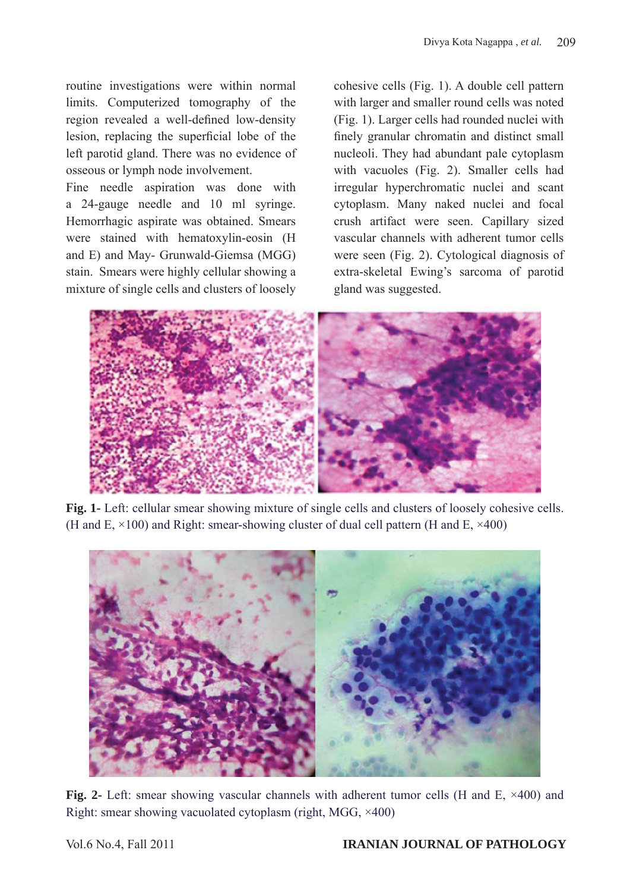routine investigations were within normal limits. Computerized tomography of the region revealed a well-defined low-density lesion, replacing the superficial lobe of the left parotid gland. There was no evidence of osseous or lymph node involvement.

Fine needle aspiration was done with a 24-gauge needle and 10 ml syringe. Hemorrhagic aspirate was obtained. Smears were stained with hematoxylin-eosin (H and E) and May- Grunwald-Giemsa (MGG) stain. Smears were highly cellular showing a mixture of single cells and clusters of loosely

cohesive cells (Fig. 1). A double cell pattern with larger and smaller round cells was noted (Fig. 1). Larger cells had rounded nuclei with finely granular chromatin and distinct small nucleoli. They had abundant pale cytoplasm with vacuoles (Fig. 2). Smaller cells had irregular hyperchromatic nuclei and scant cytoplasm. Many naked nuclei and focal crush artifact were seen. Capillary sized vascular channels with adherent tumor cells were seen (Fig. 2). Cytological diagnosis of extra-skeletal Ewing's sarcoma of parotid gland was suggested.



**Fig. 1-** Left: cellular smear showing mixture of single cells and clusters of loosely cohesive cells. (H and E,  $\times$ 100) and Right: smear-showing cluster of dual cell pattern (H and E,  $\times$ 400)



Fig. 2- Left: smear showing vascular channels with adherent tumor cells (H and E,  $\times$ 400) and Right: smear showing vacuolated cytoplasm (right, MGG, ×400)

## Vol.6 No.4, Fall 2011 **IRANIAN JOURNAL OF PATHOLOGY**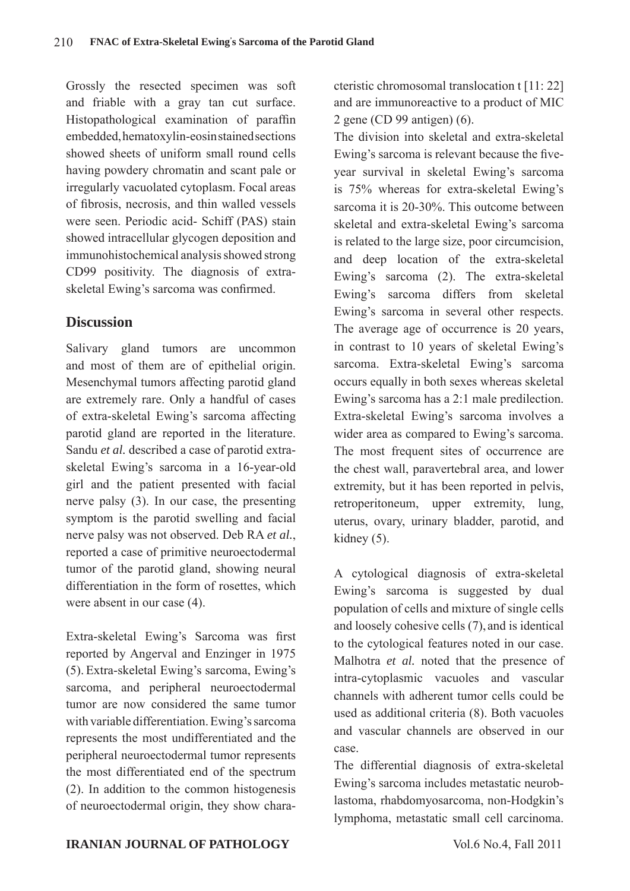Grossly the resected specimen was soft and friable with a gray tan cut surface. Histopathological examination of paraffin embedded, hematoxylin-eosin stained sections showed sheets of uniform small round cells having powdery chromatin and scant pale or irregularly vacuolated cytoplasm. Focal areas of fibrosis, necrosis, and thin walled vessels were seen. Periodic acid- Schiff (PAS) stain showed intracellular glycogen deposition and immunohistochemical analysis showed strong CD99 positivity. The diagnosis of extraskeletal Ewing's sarcoma was confirmed.

## **Discussion**

Salivary gland tumors are uncommon and most of them are of epithelial origin. Mesenchymal tumors affecting parotid gland are extremely rare. Only a handful of cases of extra-skeletal Ewing's sarcoma affecting parotid gland are reported in the literature. Sandu *et al.* described a case of parotid extraskeletal Ewing's sarcoma in a 16-year-old girl and the patient presented with facial nerve palsy (3). In our case, the presenting symptom is the parotid swelling and facial nerve palsy was not observed. Deb RA *et al.*, reported a case of primitive neuroectodermal tumor of the parotid gland, showing neural differentiation in the form of rosettes, which were absent in our case (4).

Extra-skeletal Ewing's Sarcoma was first reported by Angerval and Enzinger in 1975 (5). Extra-skeletal Ewing's sarcoma, Ewing's sarcoma, and peripheral neuroectodermal tumor are now considered the same tumor with variable differentiation. Ewing's sarcoma represents the most undifferentiated and the peripheral neuroectodermal tumor represents the most differentiated end of the spectrum (2). In addition to the common histogenesis of neuroectodermal origin, they show characteristic chromosomal translocation t [11: 22] and are immunoreactive to a product of MIC 2 gene (CD 99 antigen) (6).

The division into skeletal and extra-skeletal Ewing's sarcoma is relevant because the fiveyear survival in skeletal Ewing's sarcoma is 75% whereas for extra-skeletal Ewing's sarcoma it is 20-30%. This outcome between skeletal and extra-skeletal Ewing's sarcoma is related to the large size, poor circumcision, and deep location of the extra-skeletal Ewing's sarcoma (2). The extra-skeletal Ewing's sarcoma differs from skeletal Ewing's sarcoma in several other respects. The average age of occurrence is 20 years, in contrast to 10 years of skeletal Ewing's sarcoma. Extra-skeletal Ewing's sarcoma occurs equally in both sexes whereas skeletal Ewing's sarcoma has a 2:1 male predilection. Extra-skeletal Ewing's sarcoma involves a wider area as compared to Ewing's sarcoma. The most frequent sites of occurrence are the chest wall, paravertebral area, and lower extremity, but it has been reported in pelvis, retroperitoneum, upper extremity, lung, uterus, ovary, urinary bladder, parotid, and kidney (5).

A cytological diagnosis of extra-skeletal Ewing's sarcoma is suggested by dual population of cells and mixture of single cells and loosely cohesive cells (7), and is identical to the cytological features noted in our case. Malhotra *et al.* noted that the presence of intra-cytoplasmic vacuoles and vascular channels with adherent tumor cells could be used as additional criteria (8). Both vacuoles and vascular channels are observed in our case.

The differential diagnosis of extra-skeletal Ewing's sarcoma includes metastatic neuroblastoma, rhabdomyosarcoma, non-Hodgkin's lymphoma, metastatic small cell carcinoma.